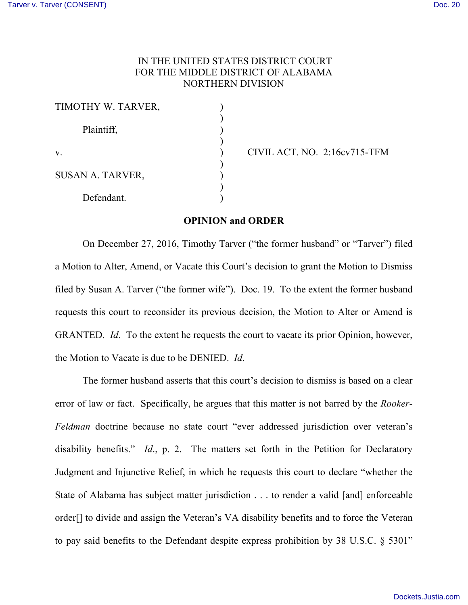## IN THE UNITED STATES DISTRICT COURT FOR THE MIDDLE DISTRICT OF ALABAMA NORTHERN DIVISION

| TIMOTHY W. TARVER,      |  |
|-------------------------|--|
| Plaintiff,              |  |
| $V_{\cdot}$             |  |
| <b>SUSAN A. TARVER,</b> |  |
| Defendant.              |  |

v. ) CIVIL ACT. NO. 2:16cv715-TFM

## **OPINION and ORDER**

On December 27, 2016, Timothy Tarver ("the former husband" or "Tarver") filed a Motion to Alter, Amend, or Vacate this Court's decision to grant the Motion to Dismiss filed by Susan A. Tarver ("the former wife"). Doc. 19. To the extent the former husband requests this court to reconsider its previous decision, the Motion to Alter or Amend is GRANTED. *Id*. To the extent he requests the court to vacate its prior Opinion, however, the Motion to Vacate is due to be DENIED. *Id*.

The former husband asserts that this court's decision to dismiss is based on a clear error of law or fact. Specifically, he argues that this matter is not barred by the *Rooker-Feldman* doctrine because no state court "ever addressed jurisdiction over veteran's disability benefits." *Id*., p. 2. The matters set forth in the Petition for Declaratory Judgment and Injunctive Relief, in which he requests this court to declare "whether the State of Alabama has subject matter jurisdiction . . . to render a valid [and] enforceable order[] to divide and assign the Veteran's VA disability benefits and to force the Veteran to pay said benefits to the Defendant despite express prohibition by 38 U.S.C. § 5301"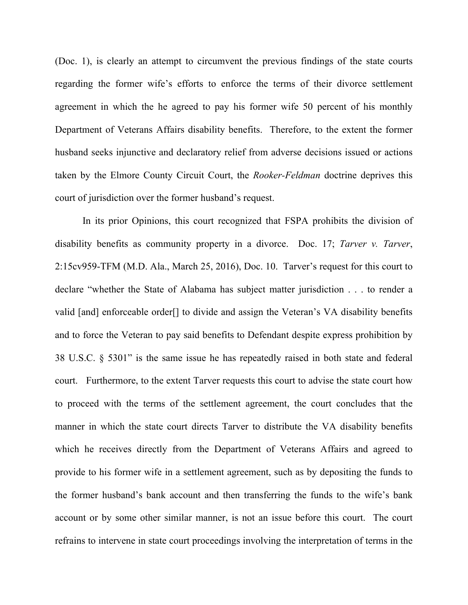(Doc. 1), is clearly an attempt to circumvent the previous findings of the state courts regarding the former wife's efforts to enforce the terms of their divorce settlement agreement in which the he agreed to pay his former wife 50 percent of his monthly Department of Veterans Affairs disability benefits. Therefore, to the extent the former husband seeks injunctive and declaratory relief from adverse decisions issued or actions taken by the Elmore County Circuit Court, the *Rooker-Feldman* doctrine deprives this court of jurisdiction over the former husband's request.

In its prior Opinions, this court recognized that FSPA prohibits the division of disability benefits as community property in a divorce. Doc. 17; *Tarver v. Tarver*, 2:15cv959-TFM (M.D. Ala., March 25, 2016), Doc. 10. Tarver's request for this court to declare "whether the State of Alabama has subject matter jurisdiction . . . to render a valid [and] enforceable order[] to divide and assign the Veteran's VA disability benefits and to force the Veteran to pay said benefits to Defendant despite express prohibition by 38 U.S.C. § 5301" is the same issue he has repeatedly raised in both state and federal court. Furthermore, to the extent Tarver requests this court to advise the state court how to proceed with the terms of the settlement agreement, the court concludes that the manner in which the state court directs Tarver to distribute the VA disability benefits which he receives directly from the Department of Veterans Affairs and agreed to provide to his former wife in a settlement agreement, such as by depositing the funds to the former husband's bank account and then transferring the funds to the wife's bank account or by some other similar manner, is not an issue before this court. The court refrains to intervene in state court proceedings involving the interpretation of terms in the